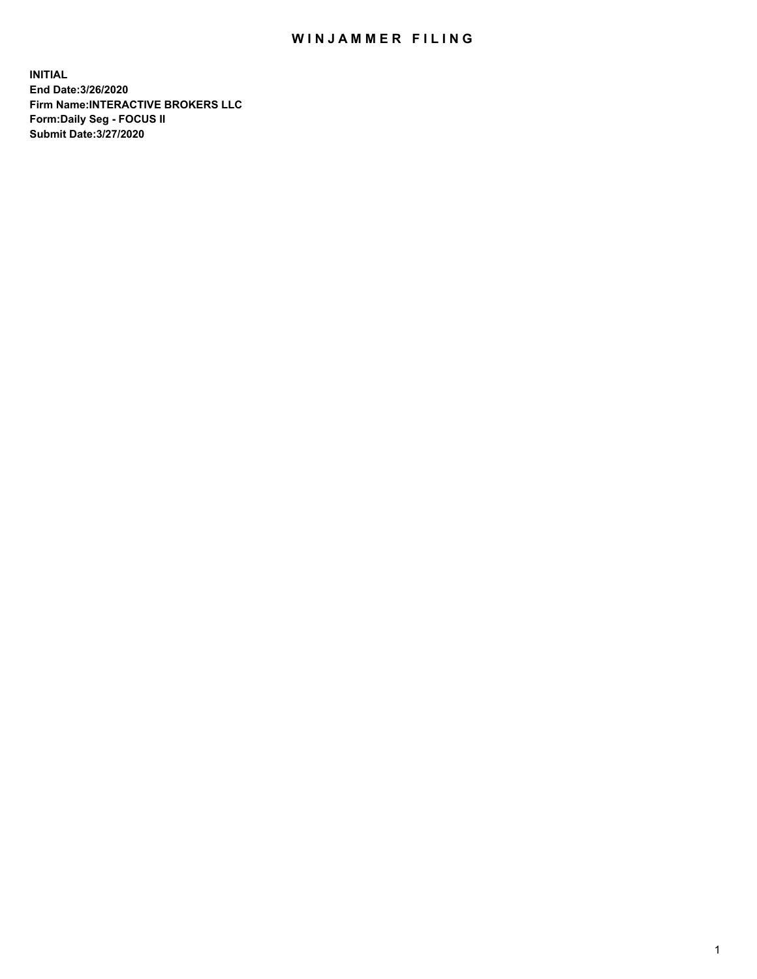## WIN JAMMER FILING

**INITIAL End Date:3/26/2020 Firm Name:INTERACTIVE BROKERS LLC Form:Daily Seg - FOCUS II Submit Date:3/27/2020**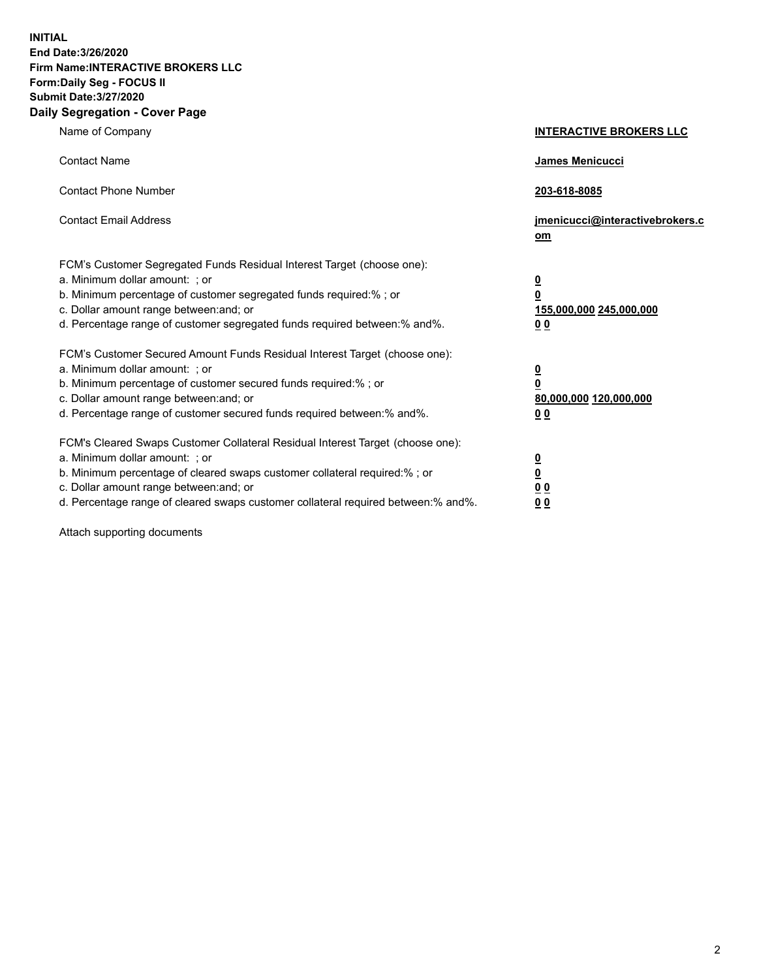**INITIAL End Date:3/26/2020 Firm Name:INTERACTIVE BROKERS LLC Form:Daily Seg - FOCUS II Submit Date:3/27/2020 Daily Segregation - Cover Page**

| Name of Company                                                                                                                                                                                                                                                                                                               | <b>INTERACTIVE BROKERS LLC</b>                                                                  |
|-------------------------------------------------------------------------------------------------------------------------------------------------------------------------------------------------------------------------------------------------------------------------------------------------------------------------------|-------------------------------------------------------------------------------------------------|
| <b>Contact Name</b>                                                                                                                                                                                                                                                                                                           | James Menicucci                                                                                 |
| <b>Contact Phone Number</b>                                                                                                                                                                                                                                                                                                   | 203-618-8085                                                                                    |
| <b>Contact Email Address</b>                                                                                                                                                                                                                                                                                                  | jmenicucci@interactivebrokers.c<br><u>om</u>                                                    |
| FCM's Customer Segregated Funds Residual Interest Target (choose one):<br>a. Minimum dollar amount: ; or<br>b. Minimum percentage of customer segregated funds required:% ; or<br>c. Dollar amount range between: and; or<br>d. Percentage range of customer segregated funds required between:% and%.                        | $\overline{\mathbf{0}}$<br>$\overline{\mathbf{0}}$<br>155,000,000 245,000,000<br>0 <sub>0</sub> |
| FCM's Customer Secured Amount Funds Residual Interest Target (choose one):<br>a. Minimum dollar amount: ; or<br>b. Minimum percentage of customer secured funds required:%; or<br>c. Dollar amount range between: and; or<br>d. Percentage range of customer secured funds required between:% and%.                           | $\overline{\mathbf{0}}$<br>$\overline{\mathbf{0}}$<br>80,000,000 120,000,000<br>0 <sub>0</sub>  |
| FCM's Cleared Swaps Customer Collateral Residual Interest Target (choose one):<br>a. Minimum dollar amount: ; or<br>b. Minimum percentage of cleared swaps customer collateral required:%; or<br>c. Dollar amount range between: and; or<br>d. Percentage range of cleared swaps customer collateral required between:% and%. | $\overline{\mathbf{0}}$<br>$\overline{\mathbf{0}}$<br>0 <sub>0</sub><br>0 <sub>0</sub>          |

Attach supporting documents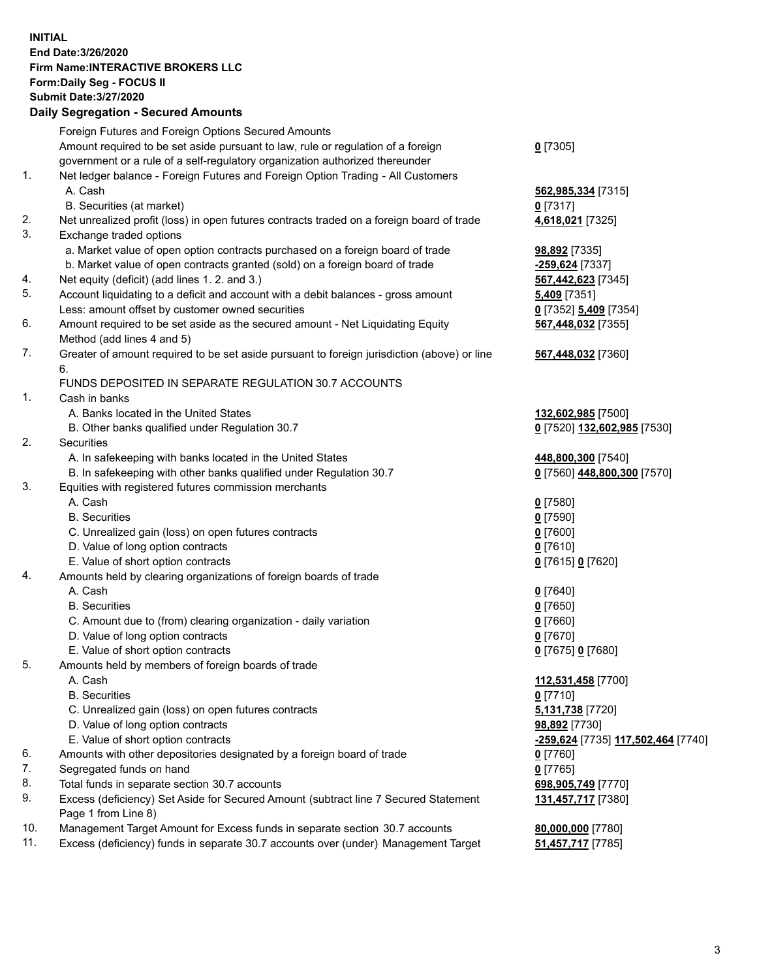**INITIAL End Date:3/26/2020 Firm Name:INTERACTIVE BROKERS LLC Form:Daily Seg - FOCUS II Submit Date:3/27/2020 Daily Segregation - Secured Amounts**

|                | Dany Ocgregation - Occarea Anioante                                                         |                                    |
|----------------|---------------------------------------------------------------------------------------------|------------------------------------|
|                | Foreign Futures and Foreign Options Secured Amounts                                         |                                    |
|                | Amount required to be set aside pursuant to law, rule or regulation of a foreign            | $0$ [7305]                         |
|                | government or a rule of a self-regulatory organization authorized thereunder                |                                    |
| 1.             | Net ledger balance - Foreign Futures and Foreign Option Trading - All Customers             |                                    |
|                | A. Cash                                                                                     | 562,985,334 [7315]                 |
|                | B. Securities (at market)                                                                   | $0$ [7317]                         |
| 2.             | Net unrealized profit (loss) in open futures contracts traded on a foreign board of trade   | 4,618,021 [7325]                   |
| 3.             | Exchange traded options                                                                     |                                    |
|                | a. Market value of open option contracts purchased on a foreign board of trade              | <b>98,892</b> [7335]               |
|                | b. Market value of open contracts granted (sold) on a foreign board of trade                | -259,624 [7337]                    |
| 4.             | Net equity (deficit) (add lines 1. 2. and 3.)                                               | 567,442,623 [7345]                 |
| 5.             | Account liquidating to a deficit and account with a debit balances - gross amount           | $5,409$ [7351]                     |
|                | Less: amount offset by customer owned securities                                            | 0 [7352] 5,409 [7354]              |
| 6.             | Amount required to be set aside as the secured amount - Net Liquidating Equity              | 567,448,032 [7355]                 |
|                | Method (add lines 4 and 5)                                                                  |                                    |
| 7.             | Greater of amount required to be set aside pursuant to foreign jurisdiction (above) or line | 567,448,032 [7360]                 |
|                | 6.                                                                                          |                                    |
| $\mathbf{1}$ . | FUNDS DEPOSITED IN SEPARATE REGULATION 30.7 ACCOUNTS<br>Cash in banks                       |                                    |
|                | A. Banks located in the United States                                                       | 132,602,985 [7500]                 |
|                | B. Other banks qualified under Regulation 30.7                                              | 0 [7520] 132,602,985 [7530]        |
| 2.             | Securities                                                                                  |                                    |
|                | A. In safekeeping with banks located in the United States                                   | 448,800,300 [7540]                 |
|                | B. In safekeeping with other banks qualified under Regulation 30.7                          | 0 [7560] 448,800,300 [7570]        |
| 3.             | Equities with registered futures commission merchants                                       |                                    |
|                | A. Cash                                                                                     | $0$ [7580]                         |
|                | <b>B.</b> Securities                                                                        | $0$ [7590]                         |
|                | C. Unrealized gain (loss) on open futures contracts                                         | $0$ [7600]                         |
|                | D. Value of long option contracts                                                           | $0$ [7610]                         |
|                | E. Value of short option contracts                                                          | 0 [7615] 0 [7620]                  |
| 4.             | Amounts held by clearing organizations of foreign boards of trade                           |                                    |
|                | A. Cash                                                                                     | $0$ [7640]                         |
|                | <b>B.</b> Securities                                                                        | $0$ [7650]                         |
|                | C. Amount due to (from) clearing organization - daily variation                             | $0$ [7660]                         |
|                | D. Value of long option contracts                                                           | $0$ [7670]                         |
|                | E. Value of short option contracts                                                          | 0 [7675] 0 [7680]                  |
| 5.             | Amounts held by members of foreign boards of trade                                          |                                    |
|                | A. Cash                                                                                     | 112,531,458 [7700]                 |
|                | <b>B.</b> Securities                                                                        | $0$ [7710]                         |
|                | C. Unrealized gain (loss) on open futures contracts                                         | 5,131,738 [7720]                   |
|                | D. Value of long option contracts                                                           | 98,892 [7730]                      |
|                | E. Value of short option contracts                                                          | -259,624 [7735] 117,502,464 [7740] |
| 6.             | Amounts with other depositories designated by a foreign board of trade                      | 0 [7760]                           |
| 7.             | Segregated funds on hand                                                                    | $0$ [7765]                         |
| 8.             | Total funds in separate section 30.7 accounts                                               | 698,905,749 [7770]                 |
| 9.             | Excess (deficiency) Set Aside for Secured Amount (subtract line 7 Secured Statement         | 131,457,717 [7380]                 |
|                | Page 1 from Line 8)                                                                         |                                    |
| 10.            | Management Target Amount for Excess funds in separate section 30.7 accounts                 | 80,000,000 [7780]                  |
| 11.            | Excess (deficiency) funds in separate 30.7 accounts over (under) Management Target          | 51,457,717 [7785]                  |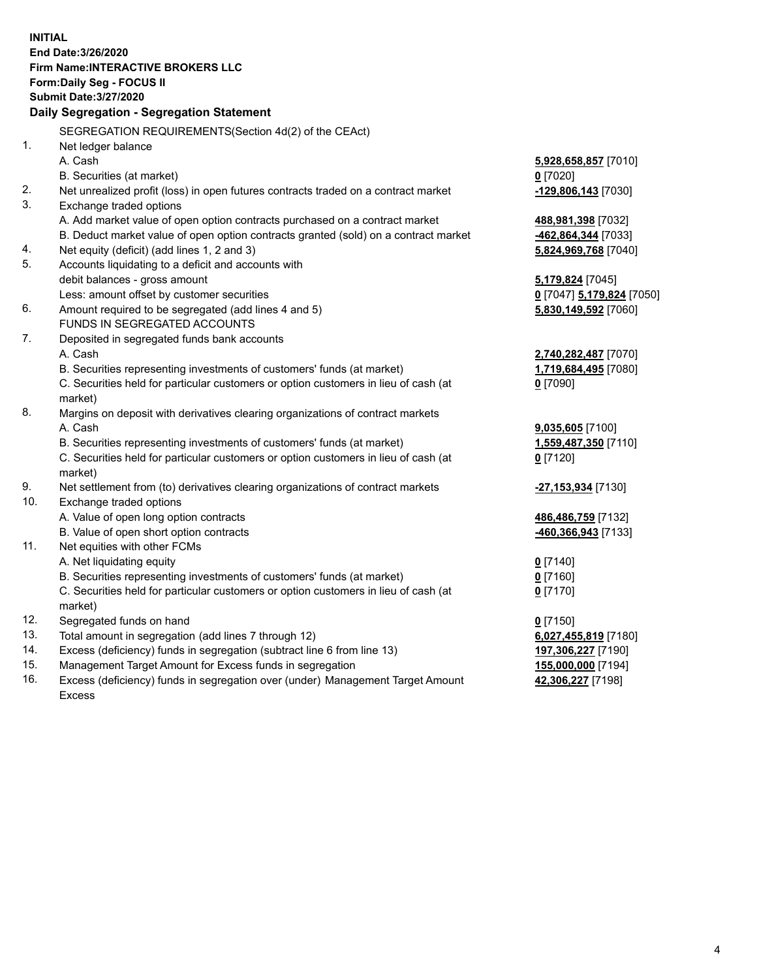**INITIAL End Date:3/26/2020 Firm Name:INTERACTIVE BROKERS LLC Form:Daily Seg - FOCUS II Submit Date:3/27/2020 Daily Segregation - Segregation Statement** SEGREGATION REQUIREMENTS(Section 4d(2) of the CEAct) 1. Net ledger balance A. Cash **5,928,658,857** [7010] B. Securities (at market) **0** [7020] 2. Net unrealized profit (loss) in open futures contracts traded on a contract market **-129,806,143** [7030] 3. Exchange traded options A. Add market value of open option contracts purchased on a contract market **488,981,398** [7032] B. Deduct market value of open option contracts granted (sold) on a contract market **-462,864,344** [7033] 4. Net equity (deficit) (add lines 1, 2 and 3) **5,824,969,768** [7040] 5. Accounts liquidating to a deficit and accounts with debit balances - gross amount **5,179,824** [7045] Less: amount offset by customer securities **0** [7047] **5,179,824** [7050] 6. Amount required to be segregated (add lines 4 and 5) **5,830,149,592** [7060] FUNDS IN SEGREGATED ACCOUNTS 7. Deposited in segregated funds bank accounts A. Cash **2,740,282,487** [7070] B. Securities representing investments of customers' funds (at market) **1,719,684,495** [7080] C. Securities held for particular customers or option customers in lieu of cash (at market) **0** [7090] 8. Margins on deposit with derivatives clearing organizations of contract markets A. Cash **9,035,605** [7100] B. Securities representing investments of customers' funds (at market) **1,559,487,350** [7110] C. Securities held for particular customers or option customers in lieu of cash (at market) **0** [7120] 9. Net settlement from (to) derivatives clearing organizations of contract markets **-27,153,934** [7130] 10. Exchange traded options A. Value of open long option contracts **486,486,759** [7132] B. Value of open short option contracts **-460,366,943** [7133] 11. Net equities with other FCMs A. Net liquidating equity **0** [7140] B. Securities representing investments of customers' funds (at market) **0** [7160] C. Securities held for particular customers or option customers in lieu of cash (at market) **0** [7170] 12. Segregated funds on hand **0** [7150] 13. Total amount in segregation (add lines 7 through 12) **6,027,455,819** [7180] 14. Excess (deficiency) funds in segregation (subtract line 6 from line 13) **197,306,227** [7190] 15. Management Target Amount for Excess funds in segregation **155,000,000** [7194] 16. Excess (deficiency) funds in segregation over (under) Management Target Amount **42,306,227** [7198]

Excess